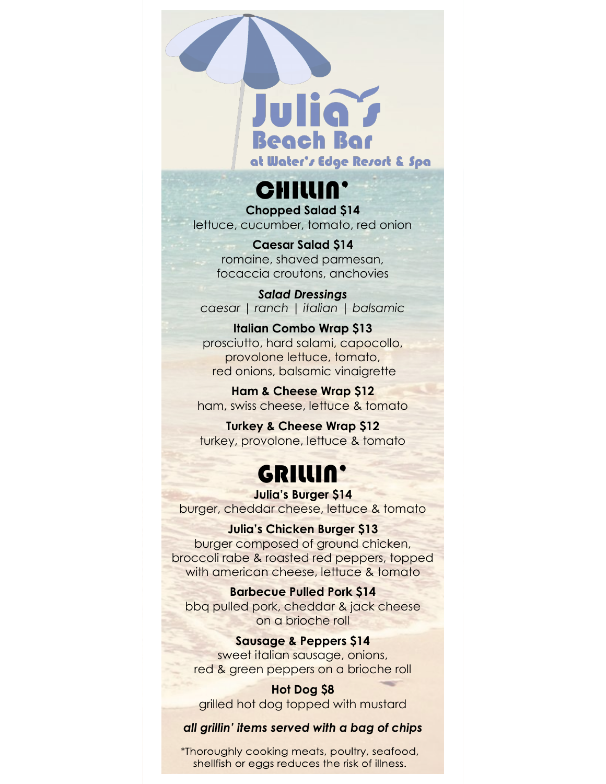

CHILLIN'

**Chopped Salad \$14** lettuce, cucumber, tomato, red onion

**Caesar Salad \$14**

romaine, shaved parmesan, focaccia croutons, anchovies

*Salad Dressings caesar | ranch | italian | balsamic*

**Italian Combo Wrap \$13** prosciutto, hard salami, capocollo, provolone lettuce, tomato, red onions, balsamic vinaigrette

**Ham & Cheese Wrap \$12** ham, swiss cheese, lettuce & tomato

**Turkey & Cheese Wrap \$12** turkey, provolone, lettuce & tomato

### GRILLIN'

**Julia's Burger \$14** burger, cheddar cheese, lettuce & tomato

#### **Julia's Chicken Burger \$13**

burger composed of ground chicken, broccoli rabe & roasted red peppers, topped with american cheese, lettuce & tomato

**Barbecue Pulled Pork \$14** bbq pulled pork, cheddar & jack cheese on a brioche roll

**Sausage & Peppers \$14** sweet italian sausage, onions, red & green peppers on a brioche roll

**Hot Dog \$8** grilled hot dog topped with mustard

#### *all grillin' items served with a bag of chips*

\*Thoroughly cooking meats, poultry, seafood, shellfish or eggs reduces the risk of illness.